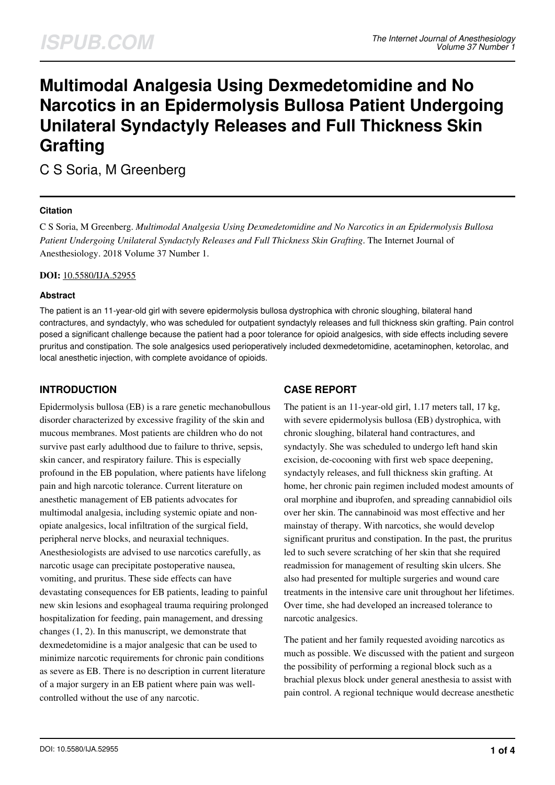# **Multimodal Analgesia Using Dexmedetomidine and No Narcotics in an Epidermolysis Bullosa Patient Undergoing Unilateral Syndactyly Releases and Full Thickness Skin Grafting**

C S Soria, M Greenberg

## **Citation**

C S Soria, M Greenberg. *Multimodal Analgesia Using Dexmedetomidine and No Narcotics in an Epidermolysis Bullosa Patient Undergoing Unilateral Syndactyly Releases and Full Thickness Skin Grafting*. The Internet Journal of Anesthesiology. 2018 Volume 37 Number 1.

#### **DOI:** [10.5580/IJA.52955](https://ispub.com/doi/10.5580/IJA.52955)

#### **Abstract**

The patient is an 11-year-old girl with severe epidermolysis bullosa dystrophica with chronic sloughing, bilateral hand contractures, and syndactyly, who was scheduled for outpatient syndactyly releases and full thickness skin grafting. Pain control posed a significant challenge because the patient had a poor tolerance for opioid analgesics, with side effects including severe pruritus and constipation. The sole analgesics used perioperatively included dexmedetomidine, acetaminophen, ketorolac, and local anesthetic injection, with complete avoidance of opioids.

## **INTRODUCTION**

Epidermolysis bullosa (EB) is a rare genetic mechanobullous disorder characterized by excessive fragility of the skin and mucous membranes. Most patients are children who do not survive past early adulthood due to failure to thrive, sepsis, skin cancer, and respiratory failure. This is especially profound in the EB population, where patients have lifelong pain and high narcotic tolerance. Current literature on anesthetic management of EB patients advocates for multimodal analgesia, including systemic opiate and nonopiate analgesics, local infiltration of the surgical field, peripheral nerve blocks, and neuraxial techniques. Anesthesiologists are advised to use narcotics carefully, as narcotic usage can precipitate postoperative nausea, vomiting, and pruritus. These side effects can have devastating consequences for EB patients, leading to painful new skin lesions and esophageal trauma requiring prolonged hospitalization for feeding, pain management, and dressing changes (1, 2). In this manuscript, we demonstrate that dexmedetomidine is a major analgesic that can be used to minimize narcotic requirements for chronic pain conditions as severe as EB. There is no description in current literature of a major surgery in an EB patient where pain was wellcontrolled without the use of any narcotic.

# **CASE REPORT**

The patient is an 11-year-old girl, 1.17 meters tall, 17 kg, with severe epidermolysis bullosa (EB) dystrophica, with chronic sloughing, bilateral hand contractures, and syndactyly. She was scheduled to undergo left hand skin excision, de-cocooning with first web space deepening, syndactyly releases, and full thickness skin grafting. At home, her chronic pain regimen included modest amounts of oral morphine and ibuprofen, and spreading cannabidiol oils over her skin. The cannabinoid was most effective and her mainstay of therapy. With narcotics, she would develop significant pruritus and constipation. In the past, the pruritus led to such severe scratching of her skin that she required readmission for management of resulting skin ulcers. She also had presented for multiple surgeries and wound care treatments in the intensive care unit throughout her lifetimes. Over time, she had developed an increased tolerance to narcotic analgesics.

The patient and her family requested avoiding narcotics as much as possible. We discussed with the patient and surgeon the possibility of performing a regional block such as a brachial plexus block under general anesthesia to assist with pain control. A regional technique would decrease anesthetic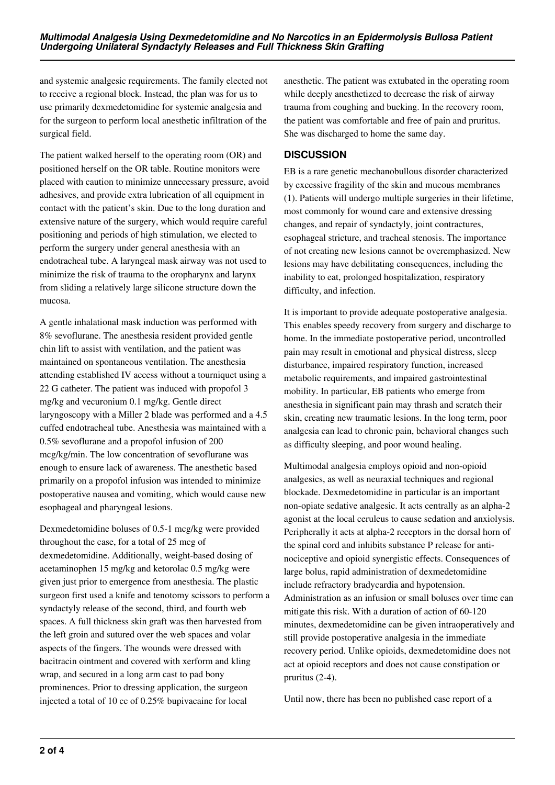and systemic analgesic requirements. The family elected not to receive a regional block. Instead, the plan was for us to use primarily dexmedetomidine for systemic analgesia and for the surgeon to perform local anesthetic infiltration of the surgical field.

The patient walked herself to the operating room (OR) and positioned herself on the OR table. Routine monitors were placed with caution to minimize unnecessary pressure, avoid adhesives, and provide extra lubrication of all equipment in contact with the patient's skin. Due to the long duration and extensive nature of the surgery, which would require careful positioning and periods of high stimulation, we elected to perform the surgery under general anesthesia with an endotracheal tube. A laryngeal mask airway was not used to minimize the risk of trauma to the oropharynx and larynx from sliding a relatively large silicone structure down the mucosa.

A gentle inhalational mask induction was performed with 8% sevoflurane. The anesthesia resident provided gentle chin lift to assist with ventilation, and the patient was maintained on spontaneous ventilation. The anesthesia attending established IV access without a tourniquet using a 22 G catheter. The patient was induced with propofol 3 mg/kg and vecuronium 0.1 mg/kg. Gentle direct laryngoscopy with a Miller 2 blade was performed and a 4.5 cuffed endotracheal tube. Anesthesia was maintained with a 0.5% sevoflurane and a propofol infusion of 200 mcg/kg/min. The low concentration of sevoflurane was enough to ensure lack of awareness. The anesthetic based primarily on a propofol infusion was intended to minimize postoperative nausea and vomiting, which would cause new esophageal and pharyngeal lesions.

Dexmedetomidine boluses of 0.5-1 mcg/kg were provided throughout the case, for a total of 25 mcg of dexmedetomidine. Additionally, weight-based dosing of acetaminophen 15 mg/kg and ketorolac 0.5 mg/kg were given just prior to emergence from anesthesia. The plastic surgeon first used a knife and tenotomy scissors to perform a syndactyly release of the second, third, and fourth web spaces. A full thickness skin graft was then harvested from the left groin and sutured over the web spaces and volar aspects of the fingers. The wounds were dressed with bacitracin ointment and covered with xerform and kling wrap, and secured in a long arm cast to pad bony prominences. Prior to dressing application, the surgeon injected a total of 10 cc of 0.25% bupivacaine for local

anesthetic. The patient was extubated in the operating room while deeply anesthetized to decrease the risk of airway trauma from coughing and bucking. In the recovery room, the patient was comfortable and free of pain and pruritus. She was discharged to home the same day.

# **DISCUSSION**

EB is a rare genetic mechanobullous disorder characterized by excessive fragility of the skin and mucous membranes (1). Patients will undergo multiple surgeries in their lifetime, most commonly for wound care and extensive dressing changes, and repair of syndactyly, joint contractures, esophageal stricture, and tracheal stenosis. The importance of not creating new lesions cannot be overemphasized. New lesions may have debilitating consequences, including the inability to eat, prolonged hospitalization, respiratory difficulty, and infection.

It is important to provide adequate postoperative analgesia. This enables speedy recovery from surgery and discharge to home. In the immediate postoperative period, uncontrolled pain may result in emotional and physical distress, sleep disturbance, impaired respiratory function, increased metabolic requirements, and impaired gastrointestinal mobility. In particular, EB patients who emerge from anesthesia in significant pain may thrash and scratch their skin, creating new traumatic lesions. In the long term, poor analgesia can lead to chronic pain, behavioral changes such as difficulty sleeping, and poor wound healing.

Multimodal analgesia employs opioid and non-opioid analgesics, as well as neuraxial techniques and regional blockade. Dexmedetomidine in particular is an important non-opiate sedative analgesic. It acts centrally as an alpha-2 agonist at the local ceruleus to cause sedation and anxiolysis. Peripherally it acts at alpha-2 receptors in the dorsal horn of the spinal cord and inhibits substance P release for antinociceptive and opioid synergistic effects. Consequences of large bolus, rapid administration of dexmedetomidine include refractory bradycardia and hypotension. Administration as an infusion or small boluses over time can mitigate this risk. With a duration of action of 60-120 minutes, dexmedetomidine can be given intraoperatively and still provide postoperative analgesia in the immediate recovery period. Unlike opioids, dexmedetomidine does not act at opioid receptors and does not cause constipation or pruritus (2-4).

Until now, there has been no published case report of a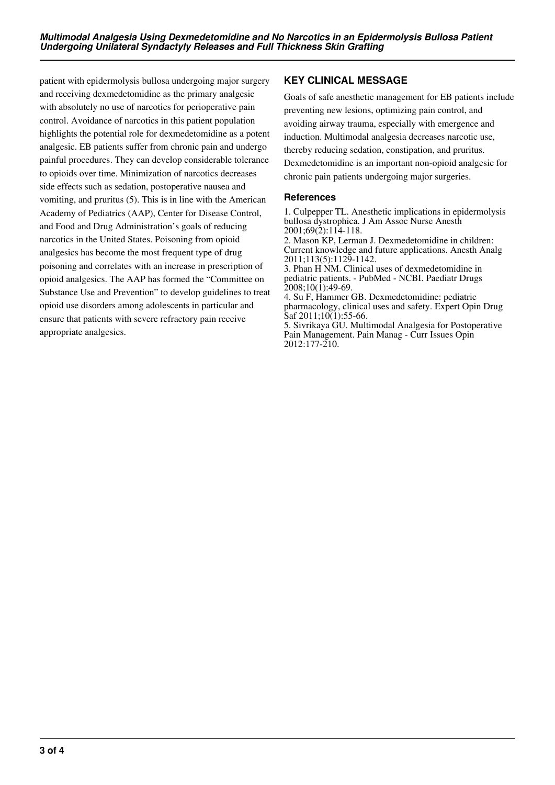patient with epidermolysis bullosa undergoing major surgery and receiving dexmedetomidine as the primary analgesic with absolutely no use of narcotics for perioperative pain control. Avoidance of narcotics in this patient population highlights the potential role for dexmedetomidine as a potent analgesic. EB patients suffer from chronic pain and undergo painful procedures. They can develop considerable tolerance to opioids over time. Minimization of narcotics decreases side effects such as sedation, postoperative nausea and vomiting, and pruritus (5). This is in line with the American Academy of Pediatrics (AAP), Center for Disease Control, and Food and Drug Administration's goals of reducing narcotics in the United States. Poisoning from opioid analgesics has become the most frequent type of drug poisoning and correlates with an increase in prescription of opioid analgesics. The AAP has formed the "Committee on Substance Use and Prevention" to develop guidelines to treat opioid use disorders among adolescents in particular and ensure that patients with severe refractory pain receive appropriate analgesics.

# **KEY CLINICAL MESSAGE**

Goals of safe anesthetic management for EB patients include preventing new lesions, optimizing pain control, and avoiding airway trauma, especially with emergence and induction. Multimodal analgesia decreases narcotic use, thereby reducing sedation, constipation, and pruritus. Dexmedetomidine is an important non-opioid analgesic for chronic pain patients undergoing major surgeries.

## **References**

1. Culpepper TL. Anesthetic implications in epidermolysis bullosa dystrophica. J Am Assoc Nurse Anesth 2001;69(2):114-118.

2. Mason KP, Lerman J. Dexmedetomidine in children: Current knowledge and future applications. Anesth Analg 2011;113(5):1129-1142.

3. Phan H NM. Clinical uses of dexmedetomidine in pediatric patients. - PubMed - NCBI. Paediatr Drugs 2008;10(1):49-69.

4. Su F, Hammer GB. Dexmedetomidine: pediatric pharmacology, clinical uses and safety. Expert Opin Drug Saf 2011;10(1):55-66.

5. Sivrikaya GU. Multimodal Analgesia for Postoperative Pain Management. Pain Manag - Curr Issues Opin 2012:177-210.